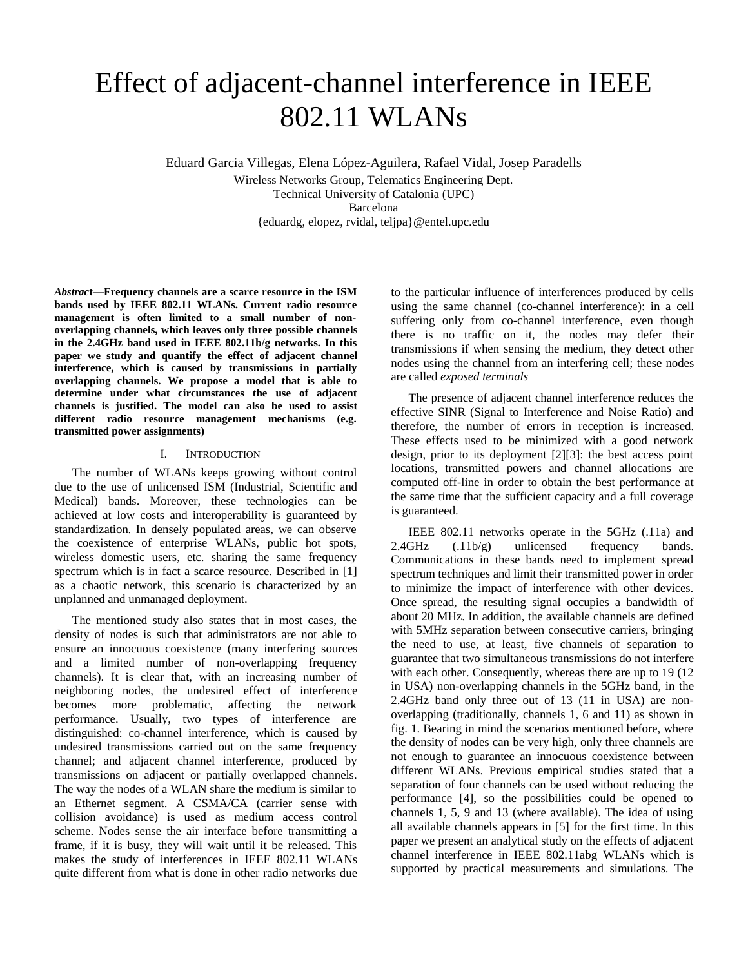# Effect of adjacent-channel interference in IEEE 802.11 WLANs

Eduard Garcia Villegas, Elena López-Aguilera, Rafael Vidal, Josep Paradells Wireless Networks Group, Telematics Engineering Dept. Technical University of Catalonia (UPC) Barcelona {eduardg, elopez, rvidal, teljpa}@entel.upc.edu

*Abstrac***t—Frequency channels are a scarce resource in the ISM bands used by IEEE 802.11 WLANs. Current radio resource management is often limited to a small number of nonoverlapping channels, which leaves only three possible channels in the 2.4GHz band used in IEEE 802.11b/g networks. In this paper we study and quantify the effect of adjacent channel interference, which is caused by transmissions in partially overlapping channels. We propose a model that is able to determine under what circumstances the use of adjacent channels is justified. The model can also be used to assist different radio resource management mechanisms (e.g. transmitted power assignments)**

# I. INTRODUCTION

The number of WLANs keeps growing without control due to the use of unlicensed ISM (Industrial, Scientific and Medical) bands. Moreover, these technologies can be achieved at low costs and interoperability is guaranteed by standardization. In densely populated areas, we can observe the coexistence of enterprise WLANs, public hot spots, wireless domestic users, etc. sharing the same frequency spectrum which is in fact a scarce resource. Described in [1] as a chaotic network, this scenario is characterized by an unplanned and unmanaged deployment.

The mentioned study also states that in most cases, the density of nodes is such that administrators are not able to ensure an innocuous coexistence (many interfering sources and a limited number of non-overlapping frequency channels). It is clear that, with an increasing number of neighboring nodes, the undesired effect of interference becomes more problematic, affecting the network performance. Usually, two types of interference are distinguished: co-channel interference, which is caused by undesired transmissions carried out on the same frequency channel; and adjacent channel interference, produced by transmissions on adjacent or partially overlapped channels. The way the nodes of a WLAN share the medium is similar to an Ethernet segment. A CSMA/CA (carrier sense with collision avoidance) is used as medium access control scheme. Nodes sense the air interface before transmitting a frame, if it is busy, they will wait until it be released. This makes the study of interferences in IEEE 802.11 WLANs quite different from what is done in other radio networks due

to the particular influence of interferences produced by cells using the same channel (co-channel interference): in a cell suffering only from co-channel interference, even though there is no traffic on it, the nodes may defer their transmissions if when sensing the medium, they detect other nodes using the channel from an interfering cell; these nodes are called *exposed terminals*

The presence of adjacent channel interference reduces the effective SINR (Signal to Interference and Noise Ratio) and therefore, the number of errors in reception is increased. These effects used to be minimized with a good network design, prior to its deployment [2][3]: the best access point locations, transmitted powers and channel allocations are computed off-line in order to obtain the best performance at the same time that the sufficient capacity and a full coverage is guaranteed.

IEEE 802.11 networks operate in the 5GHz (.11a) and 2.4GHz (.11b/g) unlicensed frequency bands. Communications in these bands need to implement spread spectrum techniques and limit their transmitted power in order to minimize the impact of interference with other devices. Once spread, the resulting signal occupies a bandwidth of about 20 MHz. In addition, the available channels are defined with 5MHz separation between consecutive carriers, bringing the need to use, at least, five channels of separation to guarantee that two simultaneous transmissions do not interfere with each other. Consequently, whereas there are up to 19 (12) in USA) non-overlapping channels in the 5GHz band, in the 2.4GHz band only three out of 13 (11 in USA) are nonoverlapping (traditionally, channels 1, 6 and 11) as shown in fig. 1. Bearing in mind the scenarios mentioned before, where the density of nodes can be very high, only three channels are not enough to guarantee an innocuous coexistence between different WLANs. Previous empirical studies stated that a separation of four channels can be used without reducing the performance [4], so the possibilities could be opened to channels 1, 5, 9 and 13 (where available). The idea of using all available channels appears in [5] for the first time. In this paper we present an analytical study on the effects of adjacent channel interference in IEEE 802.11abg WLANs which is supported by practical measurements and simulations. The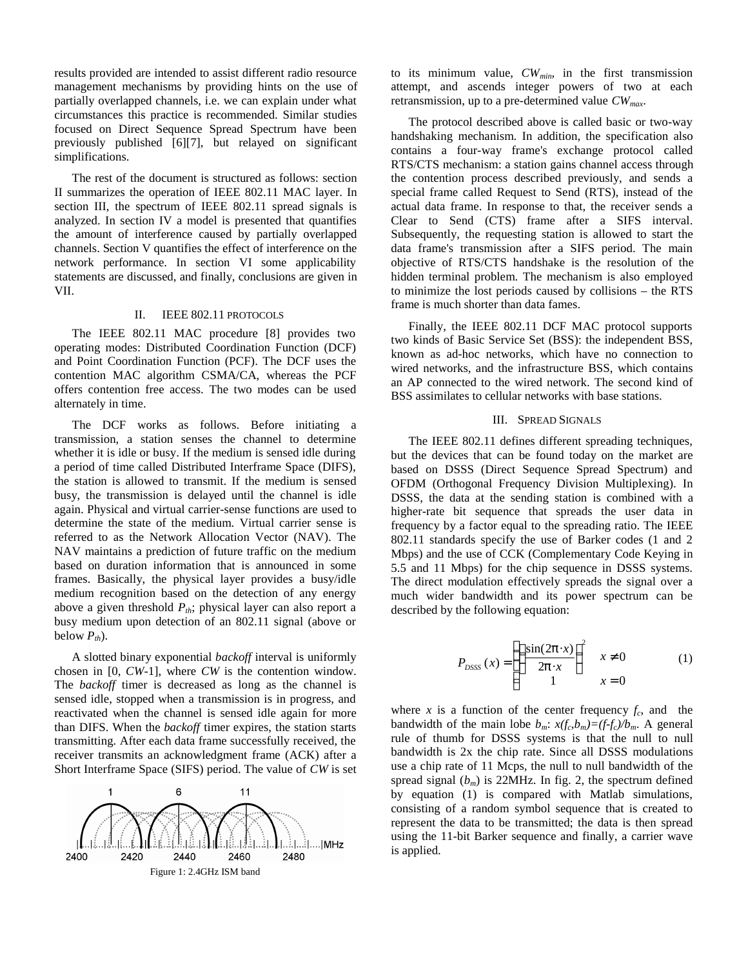results provided are intended to assist different radio resource management mechanisms by providing hints on the use of partially overlapped channels, i.e. we can explain under what circumstances this practice is recommended. Similar studies focused on Direct Sequence Spread Spectrum have been previously published [6][7], but relayed on significant simplifications.

The rest of the document is structured as follows: section II summarizes the operation of IEEE 802.11 MAC layer. In section III, the spectrum of IEEE 802.11 spread signals is analyzed. In section IV a model is presented that quantifies the amount of interference caused by partially overlapped channels. Section V quantifies the effect of interference on the network performance. In section VI some applicability statements are discussed, and finally, conclusions are given in VII.

# II. IEEE 802.11 PROTOCOLS

The IEEE 802.11 MAC procedure [8] provides two operating modes: Distributed Coordination Function (DCF) and Point Coordination Function (PCF). The DCF uses the contention MAC algorithm CSMA/CA, whereas the PCF offers contention free access. The two modes can be used alternately in time.

The DCF works as follows. Before initiating a transmission, a station senses the channel to determine whether it is idle or busy. If the medium is sensed idle during a period of time called Distributed Interframe Space (DIFS), the station is allowed to transmit. If the medium is sensed busy, the transmission is delayed until the channel is idle again. Physical and virtual carrier-sense functions are used to determine the state of the medium. Virtual carrier sense is referred to as the Network Allocation Vector (NAV). The NAV maintains a prediction of future traffic on the medium based on duration information that is announced in some frames. Basically, the physical layer provides a busy/idle medium recognition based on the detection of any energy above a given threshold *Pth*; physical layer can also report a busy medium upon detection of an 802.11 signal (above or below  $P_{th}$ ).

A slotted binary exponential *backoff* interval is uniformly chosen in [0, *CW*-1], where *CW* is the contention window. The *backoff* timer is decreased as long as the channel is sensed idle, stopped when a transmission is in progress, and reactivated when the channel is sensed idle again for more than DIFS. When the *backoff* timer expires, the station starts transmitting. After each data frame successfully received, the receiver transmits an acknowledgment frame (ACK) after a Short Interframe Space (SIFS) period. The value of *CW* is set



to its minimum value, *CWmin*, in the first transmission attempt, and ascends integer powers of two at each retransmission, up to a pre-determined value *CWmax*.

The protocol described above is called basic or two-way handshaking mechanism. In addition, the specification also contains a four-way frame's exchange protocol called RTS/CTS mechanism: a station gains channel access through the contention process described previously, and sends a special frame called Request to Send (RTS), instead of the actual data frame. In response to that, the receiver sends a Clear to Send (CTS) frame after a SIFS interval. Subsequently, the requesting station is allowed to start the data frame's transmission after a SIFS period. The main objective of RTS/CTS handshake is the resolution of the hidden terminal problem. The mechanism is also employed to minimize the lost periods caused by collisions – the RTS frame is much shorter than data fames.

Finally, the IEEE 802.11 DCF MAC protocol supports two kinds of Basic Service Set (BSS): the independent BSS, known as ad-hoc networks, which have no connection to wired networks, and the infrastructure BSS, which contains an AP connected to the wired network. The second kind of BSS assimilates to cellular networks with base stations.

## III. SPREAD SIGNALS

The IEEE 802.11 defines different spreading techniques, but the devices that can be found today on the market are based on DSSS (Direct Sequence Spread Spectrum) and OFDM (Orthogonal Frequency Division Multiplexing). In DSSS, the data at the sending station is combined with a higher-rate bit sequence that spreads the user data in frequency by a factor equal to the spreading ratio. The IEEE 802.11 standards specify the use of Barker codes (1 and 2 Mbps) and the use of CCK (Complementary Code Keying in 5.5 and 11 Mbps) for the chip sequence in DSSS systems. The direct modulation effectively spreads the signal over a much wider bandwidth and its power spectrum can be described by the following equation:

$$
P_{DSSS}\left(x\right) = \begin{cases} \left(\frac{\sin(2p \cdot x)}{2p \cdot x}\right)^2 & x \neq 0\\ 1 & x = 0 \end{cases} \tag{1}
$$

where *x* is a function of the center frequency  $f_c$ , and the bandwidth of the main lobe  $b_m$ :  $x(f_c, b_m) = (f - f_c)/b_m$ . A general rule of thumb for DSSS systems is that the null to null bandwidth is 2x the chip rate. Since all DSSS modulations use a chip rate of 11 Mcps, the null to null bandwidth of the spread signal  $(b_m)$  is 22MHz. In fig. 2, the spectrum defined by equation (1) is compared with Matlab simulations, consisting of a random symbol sequence that is created to represent the data to be transmitted; the data is then spread using the 11-bit Barker sequence and finally, a carrier wave is applied.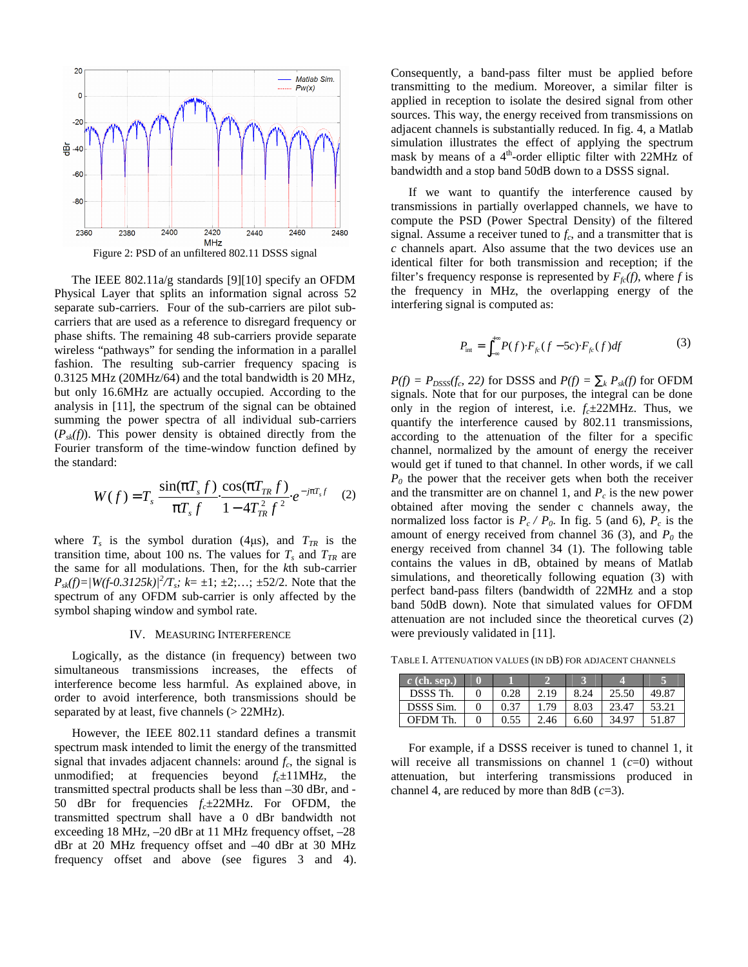

The IEEE 802.11a/g standards [9][10] specify an OFDM Physical Layer that splits an information signal across 52 separate sub-carriers. Four of the sub-carriers are pilot subcarriers that are used as a reference to disregard frequency or phase shifts. The remaining 48 sub-carriers provide separate wireless "pathways" for sending the information in a parallel fashion. The resulting sub-carrier frequency spacing is 0.3125 MHz (20MHz/64) and the total bandwidth is 20 MHz, but only 16.6MHz are actually occupied. According to the analysis in [11], the spectrum of the signal can be obtained summing the power spectra of all individual sub-carriers  $(P_{sk}(f))$ . This power density is obtained directly from the Fourier transform of the time-window function defined by the standard:

$$
W(f) = T_s \frac{\sin(pT_s f)}{pT_s f} \frac{\cos(pT_{TR} f)}{1 - 4T_{TR}^2 f^2} e^{-ipT_s f} \quad (2)
$$

where  $T_s$  is the symbol duration (4 $\mu$ s), and  $T_{TR}$  is the transition time, about 100 ns. The values for  $T_s$  and  $T_{TR}$  are the same for all modulations. Then, for the *k*th sub-carrier  $P_{sk}(f) = |W(f-0.3125k)|^2/T_s$ ;  $k = \pm 1$ ;  $\pm 2$ ;...;  $\pm 52/2$ . Note that the spectrum of any OFDM sub-carrier is only affected by the symbol shaping window and symbol rate.

#### IV. MEASURING INTERFERENCE

Logically, as the distance (in frequency) between two simultaneous transmissions increases, the effects of interference become less harmful. As explained above, in order to avoid interference, both transmissions should be separated by at least, five channels (> 22MHz).

However, the IEEE 802.11 standard defines a transmit spectrum mask intended to limit the energy of the transmitted signal that invades adjacent channels: around  $f_c$ , the signal is unmodified; at frequencies beyond  $f_c \pm 11$ MHz, the transmitted spectral products shall be less than –30 dBr, and - 50 dBr for frequencies *fc*±22MHz. For OFDM, the transmitted spectrum shall have a 0 dBr bandwidth not exceeding 18 MHz, –20 dBr at 11 MHz frequency offset, –28 dBr at 20 MHz frequency offset and –40 dBr at 30 MHz frequency offset and above (see figures 3 and 4).

Consequently, a band-pass filter must be applied before transmitting to the medium. Moreover, a similar filter is applied in reception to isolate the desired signal from other sources. This way, the energy received from transmissions on adjacent channels is substantially reduced. In fig. 4, a Matlab simulation illustrates the effect of applying the spectrum mask by means of a  $4<sup>th</sup>$ -order elliptic filter with 22MHz of bandwidth and a stop band 50dB down to a DSSS signal.

If we want to quantify the interference caused by transmissions in partially overlapped channels, we have to compute the PSD (Power Spectral Density) of the filtered signal. Assume a receiver tuned to  $f_c$ , and a transmitter that is *c* channels apart. Also assume that the two devices use an identical filter for both transmission and reception; if the filter's frequency response is represented by  $F_f(f)$ , where f is the frequency in MHz, the overlapping energy of the interfering signal is computed as:

$$
P_{\text{int}} = \int_{-\infty}^{+\infty} P(f) \cdot F_{f_c}(f - 5c) \cdot F_{f_c}(f) df \tag{3}
$$

 $P(f) = P_{DSSS}(f_c, 22)$  for DSSS and  $P(f) = \dot{a}_k P_{sk}(f)$  for OFDM signals. Note that for our purposes, the integral can be done only in the region of interest, i.e.  $f_c \pm 22MHz$ . Thus, we quantify the interference caused by 802.11 transmissions, according to the attenuation of the filter for a specific channel, normalized by the amount of energy the receiver would get if tuned to that channel. In other words, if we call  $P_0$  the power that the receiver gets when both the receiver and the transmitter are on channel 1, and  $P_c$  is the new power obtained after moving the sender c channels away, the normalized loss factor is  $P_c$  */ P<sub>0</sub>*. In fig. 5 (and 6),  $P_c$  is the amount of energy received from channel 36 (3), and  $P_0$  the energy received from channel 34 (1). The following table contains the values in dB, obtained by means of Matlab simulations, and theoretically following equation (3) with perfect band-pass filters (bandwidth of 22MHz and a stop band 50dB down). Note that simulated values for OFDM attenuation are not included since the theoretical curves (2) were previously validated in [11].

TABLE I. ATTENUATION VALUES (IN DB) FOR ADJACENT CHANNELS

| $c$ (ch. sep.) |      |      |      |       |       |
|----------------|------|------|------|-------|-------|
| DSSS Th.       | 0.28 | 2.19 | 8.24 | 25.50 | 49.87 |
| DSSS Sim.      | 0.37 | 1.79 | 8.03 | 23.47 | 53.21 |
| OFDM Th.       | 0.55 | 2.46 | 6.60 | 34.97 | 51.87 |

For example, if a DSSS receiver is tuned to channel 1, it will receive all transmissions on channel 1 (*c*=0) without attenuation, but interfering transmissions produced in channel 4, are reduced by more than 8dB (*c*=3).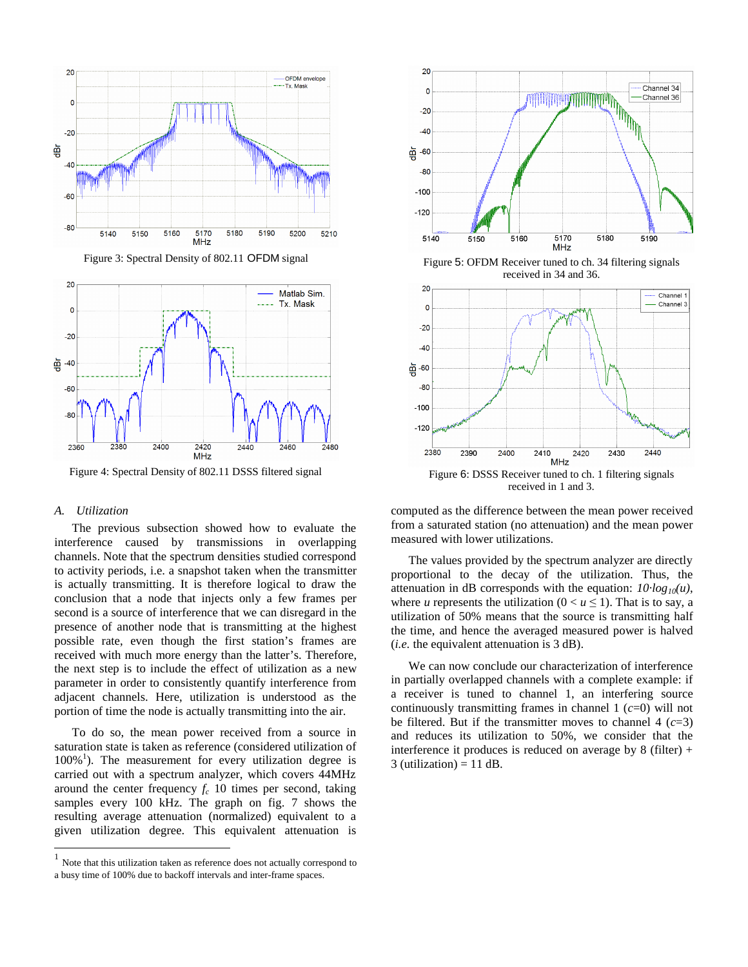

Figure 3: Spectral Density of 802.11 OFDM signal



Figure 4: Spectral Density of 802.11 DSSS filtered signal

# *A. Utilization*

 $\overline{a}$ 

The previous subsection showed how to evaluate the interference caused by transmissions in overlapping channels. Note that the spectrum densities studied correspond to activity periods, i.e. a snapshot taken when the transmitter is actually transmitting. It is therefore logical to draw the conclusion that a node that injects only a few frames per second is a source of interference that we can disregard in the presence of another node that is transmitting at the highest possible rate, even though the first station's frames are received with much more energy than the latter's. Therefore, the next step is to include the effect of utilization as a new parameter in order to consistently quantify interference from adjacent channels. Here, utilization is understood as the portion of time the node is actually transmitting into the air.

To do so, the mean power received from a source in saturation state is taken as reference (considered utilization of 100%<sup>1</sup>). The measurement for every utilization degree is carried out with a spectrum analyzer, which covers 44MHz around the center frequency  $f_c$  10 times per second, taking samples every 100 kHz. The graph on fig. 7 shows the resulting average attenuation (normalized) equivalent to a given utilization degree. This equivalent attenuation is



received in 1 and 3.

computed as the difference between the mean power received from a saturated station (no attenuation) and the mean power measured with lower utilizations.

The values provided by the spectrum analyzer are directly proportional to the decay of the utilization. Thus, the attenuation in dB corresponds with the equation: *10·log10(u)*, where *u* represents the utilization  $(0 < u \le 1)$ . That is to say, a utilization of 50% means that the source is transmitting half the time, and hence the averaged measured power is halved (*i.e.* the equivalent attenuation is 3 dB).

We can now conclude our characterization of interference in partially overlapped channels with a complete example: if a receiver is tuned to channel 1, an interfering source continuously transmitting frames in channel 1 (*c*=0) will not be filtered. But if the transmitter moves to channel  $4$   $(c=3)$ and reduces its utilization to 50%, we consider that the interference it produces is reduced on average by  $8$  (filter) + 3 (utilization)  $= 11$  dB.

<sup>1</sup> Note that this utilization taken as reference does not actually correspond to a busy time of 100% due to backoff intervals and inter-frame spaces.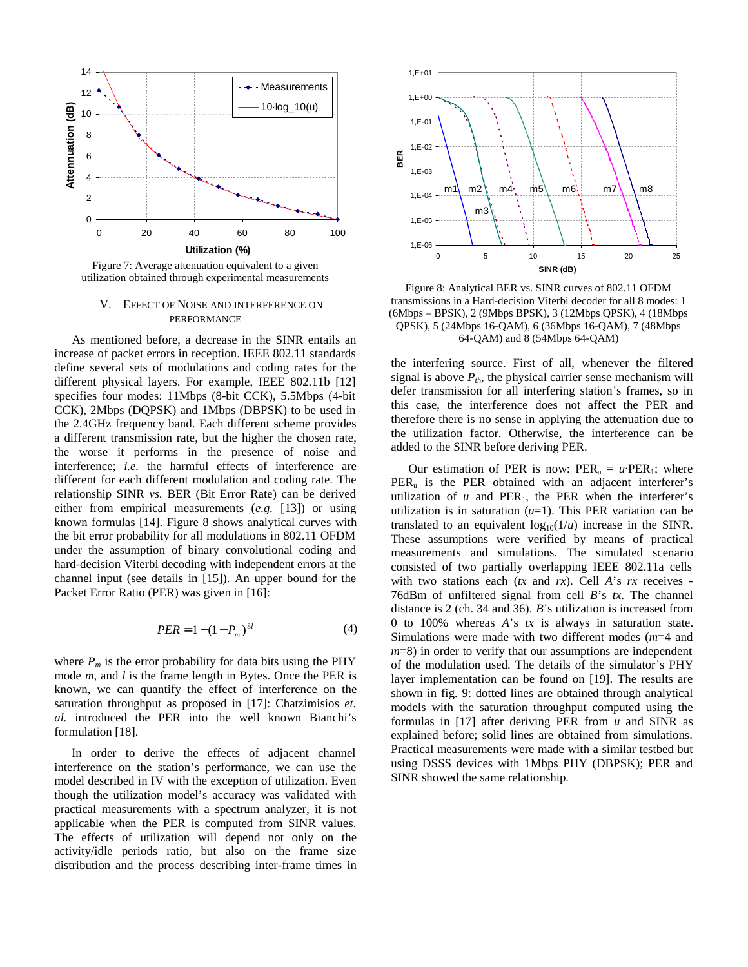

Figure 7: Average attenuation equivalent to a given utilization obtained through experimental measurements

## V. EFFECT OF NOISE AND INTERFERENCE ON PERFORMANCE

As mentioned before, a decrease in the SINR entails an increase of packet errors in reception. IEEE 802.11 standards define several sets of modulations and coding rates for the different physical layers. For example, IEEE 802.11b [12] specifies four modes: 11Mbps (8-bit CCK), 5.5Mbps (4-bit CCK), 2Mbps (DQPSK) and 1Mbps (DBPSK) to be used in the 2.4GHz frequency band. Each different scheme provides a different transmission rate, but the higher the chosen rate, the worse it performs in the presence of noise and interference; *i.e.* the harmful effects of interference are different for each different modulation and coding rate. The relationship SINR *vs.* BER (Bit Error Rate) can be derived either from empirical measurements (*e.g.* [13]) or using known formulas [14]. Figure 8 shows analytical curves with the bit error probability for all modulations in 802.11 OFDM under the assumption of binary convolutional coding and hard-decision Viterbi decoding with independent errors at the channel input (see details in [15]). An upper bound for the Packet Error Ratio (PER) was given in [16]:

$$
PER = 1 - (1 - P_m)^{8l} \tag{4}
$$

where  $P_m$  is the error probability for data bits using the PHY mode *m*, and *l* is the frame length in Bytes. Once the PER is known, we can quantify the effect of interference on the saturation throughput as proposed in [17]: Chatzimisios *et. al.* introduced the PER into the well known Bianchi's formulation [18].

In order to derive the effects of adjacent channel interference on the station's performance, we can use the model described in IV with the exception of utilization. Even though the utilization model's accuracy was validated with practical measurements with a spectrum analyzer, it is not applicable when the PER is computed from SINR values. The effects of utilization will depend not only on the activity/idle periods ratio, but also on the frame size distribution and the process describing inter-frame times in



Figure 8: Analytical BER vs. SINR curves of 802.11 OFDM transmissions in a Hard-decision Viterbi decoder for all 8 modes: 1 (6Mbps – BPSK), 2 (9Mbps BPSK), 3 (12Mbps QPSK), 4 (18Mbps QPSK), 5 (24Mbps 16-QAM), 6 (36Mbps 16-QAM), 7 (48Mbps 64-QAM) and 8 (54Mbps 64-QAM)

the interfering source. First of all, whenever the filtered signal is above  $P_{th}$ , the physical carrier sense mechanism will defer transmission for all interfering station's frames, so in this case, the interference does not affect the PER and therefore there is no sense in applying the attenuation due to the utilization factor. Otherwise, the interference can be added to the SINR before deriving PER.

Our estimation of PER is now:  $PER_u = u \cdot PER_1$ ; where  $PER<sub>u</sub>$  is the PER obtained with an adjacent interferer's utilization of  $u$  and PER<sub>1</sub>, the PER when the interferer's utilization is in saturation  $(u=1)$ . This PER variation can be translated to an equivalent  $log_{10}(1/u)$  increase in the SINR. These assumptions were verified by means of practical measurements and simulations. The simulated scenario consisted of two partially overlapping IEEE 802.11a cells with two stations each (*tx* and *rx*). Cell *A*'s *rx* receives - 76dBm of unfiltered signal from cell *B*'s *tx*. The channel distance is 2 (ch. 34 and 36). *B*'s utilization is increased from 0 to 100% whereas *A*'s *tx* is always in saturation state. Simulations were made with two different modes (*m*=4 and *m*=8) in order to verify that our assumptions are independent of the modulation used. The details of the simulator's PHY layer implementation can be found on [19]. The results are shown in fig. 9: dotted lines are obtained through analytical models with the saturation throughput computed using the formulas in [17] after deriving PER from *u* and SINR as explained before; solid lines are obtained from simulations. Practical measurements were made with a similar testbed but using DSSS devices with 1Mbps PHY (DBPSK); PER and SINR showed the same relationship.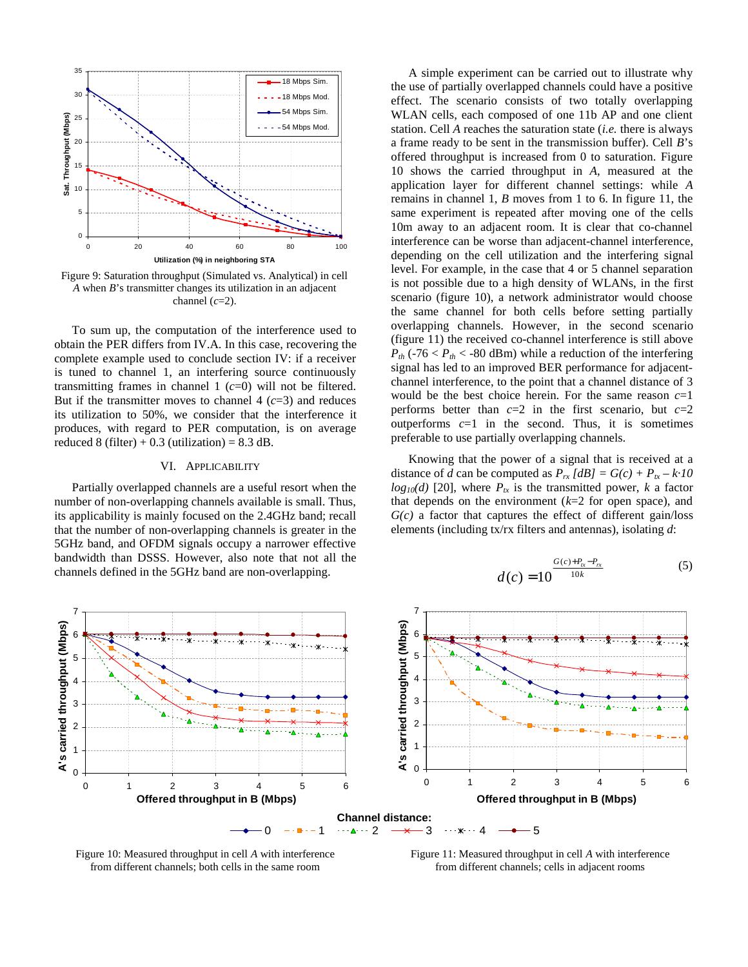

Figure 9: Saturation throughput (Simulated vs. Analytical) in cell *A* when *B*'s transmitter changes its utilization in an adjacent channel (*c*=2).

To sum up, the computation of the interference used to obtain the PER differs from IV.A. In this case, recovering the complete example used to conclude section IV: if a receiver is tuned to channel 1, an interfering source continuously transmitting frames in channel 1 (*c*=0) will not be filtered. But if the transmitter moves to channel  $4$  ( $c=3$ ) and reduces its utilization to 50%, we consider that the interference it produces, with regard to PER computation, is on average reduced 8 (filter)  $+ 0.3$  (utilization) = 8.3 dB.

## VI. APPLICABILITY

Partially overlapped channels are a useful resort when the number of non-overlapping channels available is small. Thus, its applicability is mainly focused on the 2.4GHz band; recall that the number of non-overlapping channels is greater in the 5GHz band, and OFDM signals occupy a narrower effective bandwidth than DSSS. However, also note that not all the channels defined in the 5GHz band are non-overlapping.

A simple experiment can be carried out to illustrate why the use of partially overlapped channels could have a positive effect. The scenario consists of two totally overlapping WLAN cells, each composed of one 11b AP and one client station. Cell *A* reaches the saturation state (*i.e.* there is always a frame ready to be sent in the transmission buffer). Cell *B*'s offered throughput is increased from 0 to saturation. Figure 10 shows the carried throughput in *A*, measured at the application layer for different channel settings: while *A* remains in channel 1, *B* moves from 1 to 6. In figure 11, the same experiment is repeated after moving one of the cells 10m away to an adjacent room. It is clear that co-channel interference can be worse than adjacent-channel interference, depending on the cell utilization and the interfering signal level. For example, in the case that 4 or 5 channel separation is not possible due to a high density of WLANs, in the first scenario (figure 10), a network administrator would choose the same channel for both cells before setting partially overlapping channels. However, in the second scenario (figure 11) the received co-channel interference is still above  $P_{th}$  (-76 <  $P_{th}$  < -80 dBm) while a reduction of the interfering signal has led to an improved BER performance for adjacentchannel interference, to the point that a channel distance of 3 would be the best choice herein. For the same reason *c*=1 performs better than  $c=2$  in the first scenario, but  $c=2$ outperforms  $c=1$  in the second. Thus, it is sometimes preferable to use partially overlapping channels.

Knowing that the power of a signal that is received at a distance of *d* can be computed as  $P_{rx}$  [*dB*] =  $G(c) + P_{tx} - k \cdot 10$  $log_{10}(d)$  [20], where  $P_{tx}$  is the transmitted power, *k* a factor that depends on the environment (*k*=2 for open space), and  $G(c)$  a factor that captures the effect of different gain/loss elements (including tx/rx filters and antennas), isolating *d*:

$$
d(c) = 10^{\frac{G(c) + P_{tx} - P_{rx}}{10k}}
$$
 (5)



Figure 10: Measured throughput in cell *A* with interference from different channels; both cells in the same room

Figure 11: Measured throughput in cell *A* with interference from different channels; cells in adjacent rooms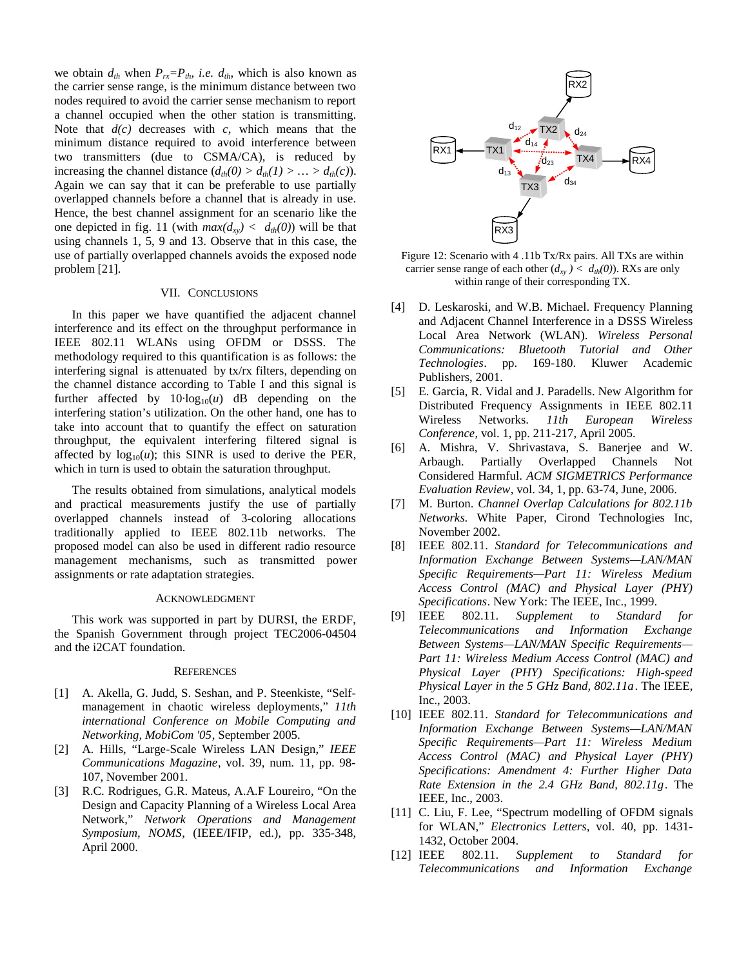we obtain  $d_{th}$  when  $P_{rx} = P_{th}$ , *i.e.*  $d_{th}$ , which is also known as the carrier sense range, is the minimum distance between two nodes required to avoid the carrier sense mechanism to report a channel occupied when the other station is transmitting. Note that  $d(c)$  decreases with  $c$ , which means that the minimum distance required to avoid interference between two transmitters (due to CSMA/CA), is reduced by increasing the channel distance  $(d_{th}(0) > d_{th}(1) > ... > d_{th}(c))$ . Again we can say that it can be preferable to use partially overlapped channels before a channel that is already in use. Hence, the best channel assignment for an scenario like the one depicted in fig. 11 (with  $max(d_{xy}) < d_{th}(0)$ ) will be that using channels 1, 5, 9 and 13. Observe that in this case, the use of partially overlapped channels avoids the exposed node problem [21].

## VII. CONCLUSIONS

In this paper we have quantified the adjacent channel interference and its effect on the throughput performance in IEEE 802.11 WLANs using OFDM or DSSS. The methodology required to this quantification is as follows: the interfering signal is attenuated by tx/rx filters, depending on the channel distance according to Table I and this signal is further affected by  $10 \cdot \log_{10}(u)$  dB depending on the interfering station's utilization. On the other hand, one has to take into account that to quantify the effect on saturation throughput, the equivalent interfering filtered signal is affected by  $log_{10}(u)$ ; this SINR is used to derive the PER, which in turn is used to obtain the saturation throughput.

The results obtained from simulations, analytical models and practical measurements justify the use of partially overlapped channels instead of 3-coloring allocations traditionally applied to IEEE 802.11b networks. The proposed model can also be used in different radio resource management mechanisms, such as transmitted power assignments or rate adaptation strategies.

#### ACKNOWLEDGMENT

This work was supported in part by DURSI, the ERDF, the Spanish Government through project TEC2006-04504 and the i2CAT foundation.

## **REFERENCES**

- [1] A. Akella, G. Judd, S. Seshan, and P. Steenkiste, "Selfmanagement in chaotic wireless deployments," *11th international Conference on Mobile Computing and Networking, MobiCom '05*, September 2005.
- [2] A. Hills, "Large-Scale Wireless LAN Design," *IEEE Communications Magazine*, vol. 39, num. 11, pp. 98- 107, November 2001.
- [3] R.C. Rodrigues, G.R. Mateus, A.A.F Loureiro, "On the Design and Capacity Planning of a Wireless Local Area Network," *Network Operations and Management Symposium, NOMS*, (IEEE/IFIP, ed.), pp. 335-348, April 2000.



Figure 12: Scenario with 4 .11b Tx/Rx pairs. All TXs are within carrier sense range of each other  $(d_{xy}) < d_{th}(0)$ ). RXs are only within range of their corresponding TX.

- [4] D. Leskaroski, and W.B. Michael. Frequency Planning and Adjacent Channel Interference in a DSSS Wireless Local Area Network (WLAN). *Wireless Personal Communications: Bluetooth Tutorial and Other Technologies*. pp. 169-180. Kluwer Academic Publishers, 2001.
- [5] E. Garcia, R. Vidal and J. Paradells. New Algorithm for Distributed Frequency Assignments in IEEE 802.11 Wireless Networks. *11th European Wireless Conference*, vol. 1, pp. 211-217, April 2005.
- [6] A. Mishra, V. Shrivastava, S. Banerjee and W. Arbaugh. Partially Overlapped Channels Not Considered Harmful. *ACM SIGMETRICS Performance Evaluation Review*, vol. 34, 1, pp. 63-74, June, 2006.
- [7] M. Burton. *Channel Overlap Calculations for 802.11b Networks*. White Paper, Cirond Technologies Inc, November 2002.
- [8] IEEE 802.11. *Standard for Telecommunications and Information Exchange Between Systems—LAN/MAN Specific Requirements—Part 11: Wireless Medium Access Control (MAC) and Physical Layer (PHY) Specifications*. New York: The IEEE, Inc., 1999.
- [9] IEEE 802.11. *Supplement to Standard for Telecommunications and Information Exchange Between Systems—LAN/MAN Specific Requirements— Part 11: Wireless Medium Access Control (MAC) and Physical Layer (PHY) Specifications: High-speed Physical Layer in the 5 GHz Band, 802.11a*. The IEEE, Inc., 2003.
- [10] IEEE 802.11. *Standard for Telecommunications and Information Exchange Between Systems—LAN/MAN Specific Requirements—Part 11: Wireless Medium Access Control (MAC) and Physical Layer (PHY) Specifications: Amendment 4: Further Higher Data Rate Extension in the 2.4 GHz Band, 802.11g*. The IEEE, Inc., 2003.
- [11] C. Liu, F. Lee, "Spectrum modelling of OFDM signals for WLAN," *Electronics Letters*, vol. 40, pp. 1431- 1432, October 2004.
- [12] IEEE 802.11. *Supplement to Standard for Telecommunications and Information Exchange*